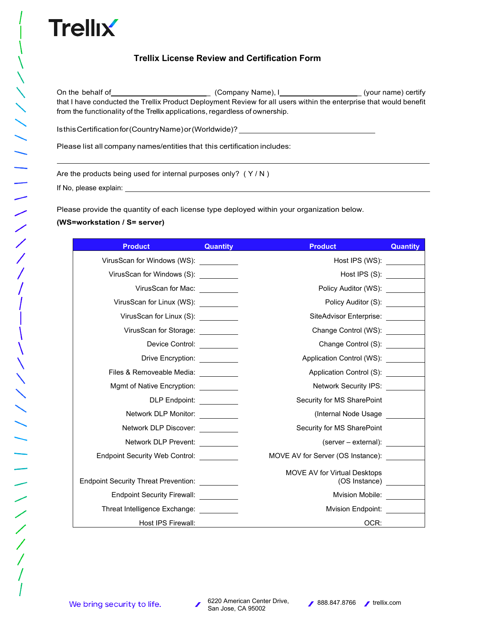## **Trellix License Review and Certification Form**

On the behalf of \_ (Company Name), I \_ (your name) certify that I have conducted the Trellix Product Deployment Review for all users within the enterprise that would benefit from the functionality of the Trellix applications, regardless of ownership.

 $\overline{a}$ 

IsthisCertificationfor(CountryName)or(Worldwide)?

Please list all company names/entities that this certification includes:

Are the products being used for internal purposes only? (Y/N)

If No, please explain:

Please provide the quantity of each license type deployed within your organization below.

## **(WS=workstation / S= server)**

| <b>Product</b>                              | <b>Quantity</b> | <b>Product</b>                                       | <b>Quantity</b> |
|---------------------------------------------|-----------------|------------------------------------------------------|-----------------|
| VirusScan for Windows (WS): _________       |                 | Host IPS (WS):                                       |                 |
|                                             |                 | Host IPS (S):                                        |                 |
| VirusScan for Mac: _________                |                 | Policy Auditor (WS):                                 |                 |
| VirusScan for Linux (WS):                   |                 | Policy Auditor (S): _________                        |                 |
| VirusScan for Linux (S): _________          |                 | SiteAdvisor Enterprise:                              |                 |
| VirusScan for Storage: _________            |                 | Change Control (WS):                                 |                 |
| Device Control:                             |                 | Change Control (S): _________                        |                 |
| Drive Encryption: __________                |                 | Application Control (WS):                            |                 |
| Files & Removeable Media: \[\stangle \]     |                 | Application Control (S):                             |                 |
| Mgmt of Native Encryption: __________       |                 | Network Security IPS:                                |                 |
| DLP Endpoint: __________                    |                 | Security for MS SharePoint                           |                 |
| Network DLP Monitor:                        |                 | (Internal Node Usage                                 |                 |
| Network DLP Discover:                       |                 | Security for MS SharePoint                           |                 |
| Network DLP Prevent: _________              |                 | (server – external):                                 |                 |
| <b>Endpoint Security Web Control:</b>       |                 | MOVE AV for Server (OS Instance):                    |                 |
| <b>Endpoint Security Threat Prevention:</b> |                 | <b>MOVE AV for Virtual Desktops</b><br>(OS Instance) |                 |
| <b>Endpoint Security Firewall:</b>          |                 | Mvision Mobile:                                      |                 |
| Threat Intelligence Exchange: __________    |                 | <b>Mvision Endpoint:</b>                             |                 |
| Host IPS Firewall:                          |                 | OCR:                                                 |                 |